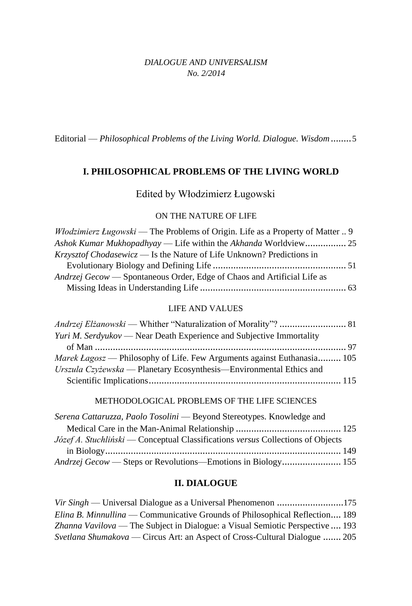## *DIALOGUE AND UNIVERSALISM No. 2/2014*

Editorial — *Philosophical Problems of the Living World. Dialogue. Wisdom*........5

# **I. PHILOSOPHICAL PROBLEMS OF THE LIVING WORLD**

# Edited by Włodzimierz Ługowski

## ON THE NATURE OF LIFE

| <i>Włodzimierz Ługowski</i> — The Problems of Origin. Life as a Property of Matter  9 |  |
|---------------------------------------------------------------------------------------|--|
|                                                                                       |  |
| $Krzvsztof Chodasewicz$ — Is the Nature of Life Unknown? Predictions in               |  |
|                                                                                       |  |
| <i>Andrzej Gecow</i> — Spontaneous Order, Edge of Chaos and Artificial Life as        |  |
|                                                                                       |  |

#### LIFE AND VALUES

| <i>Yuri M. Serdyukov</i> — Near Death Experience and Subjective Immortality    |  |
|--------------------------------------------------------------------------------|--|
|                                                                                |  |
| <i>Marek Lagosz</i> — Philosophy of Life. Few Arguments against Euthanasia 105 |  |
| Urszula Czyżewska — Planetary Ecosynthesis—Environmental Ethics and            |  |
|                                                                                |  |

### METHODOLOGICAL PROBLEMS OF THE LIFE SCIENCES

| Serena Cattaruzza, Paolo Tosolini — Beyond Stereotypes. Knowledge and                  |  |
|----------------------------------------------------------------------------------------|--|
|                                                                                        |  |
| <i>Józef A. Stuchliński</i> — Conceptual Classifications versus Collections of Objects |  |
|                                                                                        |  |
|                                                                                        |  |

### **II. DIALOGUE**

| Elina B. Minnullina — Communicative Grounds of Philosophical Reflection 189       |  |
|-----------------------------------------------------------------------------------|--|
| Zhanna Vavilova — The Subject in Dialogue: a Visual Semiotic Perspective  193     |  |
| <i>Svetlana Shumakova</i> — Circus Art: an Aspect of Cross-Cultural Dialogue  205 |  |